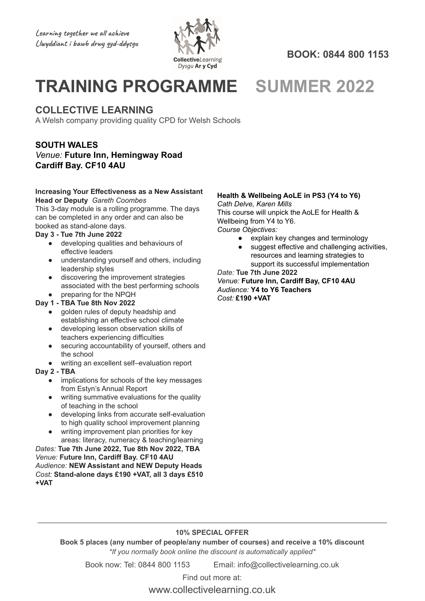

**BOOK: 0844 800 1153**

# **TRAINING PROGRAMME SUMMER 2022**

### **COLLECTIVE LEARNING**

A Welsh company providing quality CPD for Welsh Schools

### **SOUTH WALES**

### *Venue:* **Future Inn, Hemingway Road Cardiff Bay. CF10 4AU**

#### **Increasing Your Effectiveness as a New Assistant Head or Deputy** *Gareth Coombes*

This 3-day module is a rolling programme. The days can be completed in any order and can also be booked as stand-alone days.

### **Day 3 - Tue 7th June 2022**

- developing qualities and behaviours of effective leaders
- understanding yourself and others, including leadership styles
- discovering the improvement strategies associated with the best performing schools
- preparing for the NPQH

### **Day 1 - TBA Tue 8th Nov 2022**

- golden rules of deputy headship and establishing an effective school climate
- developing lesson observation skills of teachers experiencing difficulties
- securing accountability of yourself, others and the school
- writing an excellent self–evaluation report

#### **Day 2 - TBA**

- implications for schools of the key messages from Estyn's Annual Report
- writing summative evaluations for the quality of teaching in the school
- developing links from accurate self-evaluation to high quality school improvement planning
- writing improvement plan priorities for key areas: literacy, numeracy & teaching/learning

*Dates:* **Tue 7th June 2022, Tue 8th Nov 2022, TBA** *Venue:* **Future Inn, Cardiff Bay. CF10 4AU** *Audience:* **NEW Assistant and NEW Deputy Heads** *Cost:* **Stand-alone days £190 +VAT, all 3 days £510 +VAT**

### **Health & Wellbeing AoLE in PS3 (Y4 to Y6)**

*Cath Delve, Karen Mills* This course will unpick the AoLE for Health & Wellbeing from Y4 to Y6.

*Course Objectives:*

- explain key changes and terminology
- suggest effective and challenging activities, resources and learning strategies to support its successful implementation

*Date:* **Tue 7th June 2022**

*Venue:* **Future Inn, Cardiff Bay, CF10 4AU** *Audience:* **Y4 to Y6 Teachers** *Cost:* **£190 +VAT**

### **10% SPECIAL OFFER**

**Book 5 places (any number of people/any number of courses) and receive a 10% discount** *\*If you normally book online the discount is automatically applied\**

Book now: Tel: 0844 800 1153 Email: info@collectivelearning.co.uk

Find out more at: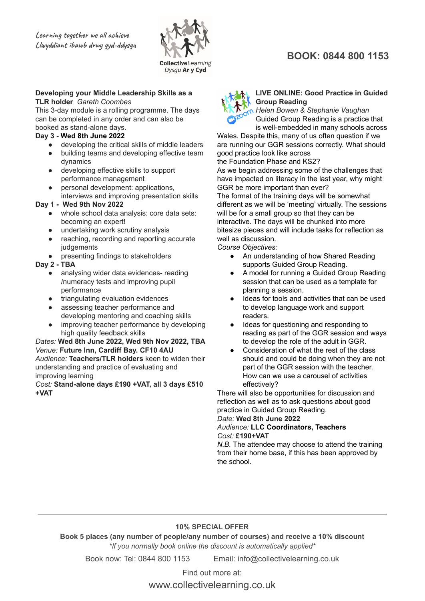

#### **Developing your Middle Leadership Skills as a TLR holder** *Gareth Coombes*

This 3-day module is a rolling programme. The days can be completed in any order and can also be booked as stand-alone days.

### **Day 3 - Wed 8th June 2022**

- developing the critical skills of middle leaders
- building teams and developing effective team dynamics
- developing effective skills to support performance management
- personal development: applications, interviews and improving presentation skills

### **Day 1 - Wed 9th Nov 2022**

- whole school data analysis: core data sets: becoming an expert!
- undertaking work scrutiny analysis
- reaching, recording and reporting accurate judgements
- presenting findings to stakeholders

### **Day 2 - TBA**

- analysing wider data evidences- reading /numeracy tests and improving pupil performance
- triangulating evaluation evidences
- assessing teacher performance and developing mentoring and coaching skills
- improving teacher performance by developing high quality feedback skills

#### *Dates:* **Wed 8th June 2022, Wed 9th Nov 2022, TBA** *Venue:* **Future Inn, Cardiff Bay. CF10 4AU** *Audience:* **Teachers/TLR holders** keen to widen their understanding and practice of evaluating and improving learning

*Cost:* **Stand-alone days £190 +VAT, all 3 days £510 +VAT**

## **BOOK: 0844 800 1153**



#### **LIVE ONLINE: Good Practice in Guided Group Reading**

*Helen Bowen & Stephanie Vaughan* Guided Group Reading is a practice that is well-embedded in many schools across

Wales. Despite this, many of us often question if we are running our GGR sessions correctly. What should good practice look like across the Foundation Phase and KS2?

As we begin addressing some of the challenges that have impacted on literacy in the last year, why might GGR be more important than ever?

The format of the training days will be somewhat different as we will be 'meeting' virtually. The sessions will be for a small group so that they can be interactive. The days will be chunked into more bitesize pieces and will include tasks for reflection as well as discussion.

*Course Objectives:*

- An understanding of how Shared Reading supports Guided Group Reading.
- A model for running a Guided Group Reading session that can be used as a template for planning a session.
- Ideas for tools and activities that can be used to develop language work and support readers.
- Ideas for questioning and responding to reading as part of the GGR session and ways to develop the role of the adult in GGR.
- Consideration of what the rest of the class should and could be doing when they are not part of the GGR session with the teacher. How can we use a carousel of activities effectively?

There will also be opportunities for discussion and reflection as well as to ask questions about good practice in Guided Group Reading.

### *Date:* **Wed 8th June 2022**

### *Audience:* **LLC Coordinators, Teachers** *Cost:* **£190+VAT**

*N.B.* The attendee may choose to attend the training from their home base, if this has been approved by the school.

### **10% SPECIAL OFFER**

**Book 5 places (any number of people/any number of courses) and receive a 10% discount** *\*If you normally book online the discount is automatically applied\**

Book now: Tel: 0844 800 1153 Email: info@collectivelearning.co.uk

Find out more at: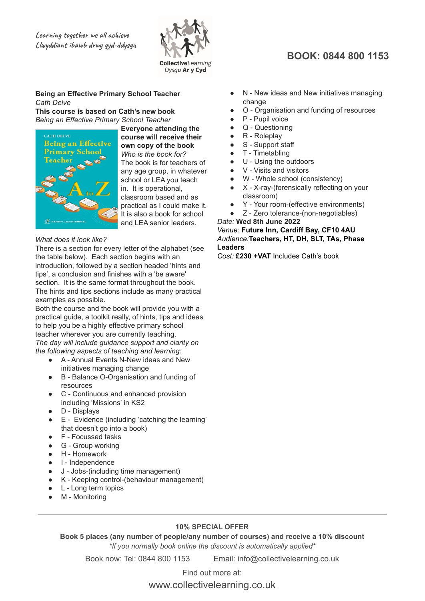

### **Being an Effective Primary School Teacher** *Cath Delve*

**This course is based on Cath's new book** *Being an Effective Primary School Teacher*



**Everyone attending the course will receive their own copy of the book** *Who is the book for?* The book is for teachers of any age group, in whatever school or LEA you teach in. It is operational, classroom based and as practical as I could make it. It is also a book for school and LEA senior leaders.

### *What does it look like?*

There is a section for every letter of the alphabet (see the table below). Each section begins with an introduction, followed by a section headed 'hints and tips', a conclusion and finishes with a 'be aware' section. It is the same format throughout the book. The hints and tips sections include as many practical examples as possible.

Both the course and the book will provide you with a practical guide, a toolkit really, of hints, tips and ideas to help you be a highly effective primary school teacher wherever you are currently teaching. *The day will include guidance support and clarity on the following aspects of teaching and learning:*

- A Annual Events N-New ideas and New initiatives managing change
- B Balance O-Organisation and funding of resources
- C Continuous and enhanced provision including 'Missions' in KS2
- D Displays
- E Evidence (including 'catching the learning' that doesn't go into a book)
- F Focussed tasks
- G Group working
- H Homework
- I Independence
- J Jobs-(including time management)
- K Keeping control-(behaviour management)
- L Long term topics
- M Monitoring

## **BOOK: 0844 800 1153**

- N New ideas and New initiatives managing change
- O Organisation and funding of resources
- P Pupil voice
- Q Questioning
- R Roleplay
- S Support staff
- T Timetabling
- U Using the outdoors
- V Visits and visitors
- W Whole school (consistency)
- X X-ray-(forensically reflecting on your classroom)
- Y Your room-(effective environments)
- Z Zero tolerance-(non-negotiables)

*Date:* **Wed 8th June 2022** *Venue:* **Future Inn, Cardiff Bay, CF10 4AU** *Audience:***Teachers, HT, DH, SLT, TAs, Phase Leaders**

*Cost:* **£230 +VAT** Includes Cath's book

### **10% SPECIAL OFFER**

**Book 5 places (any number of people/any number of courses) and receive a 10% discount** *\*If you normally book online the discount is automatically applied\**

Book now: Tel: 0844 800 1153 Email: info@collectivelearning.co.uk

Find out more at: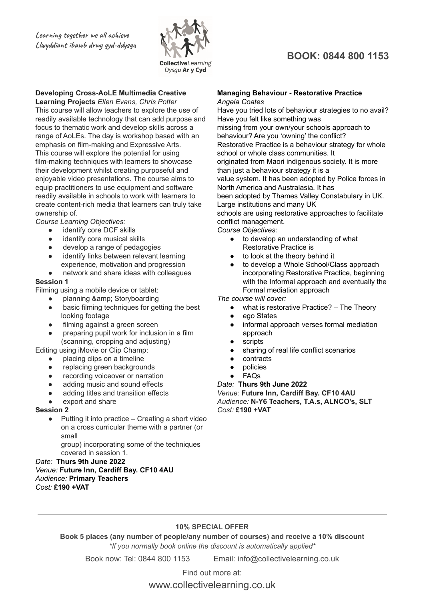

### **Developing Cross-AoLE Multimedia Creative**

**Learning Projects** *Ellen Evans, Chris Potter* This course will allow teachers to explore the use of readily available technology that can add purpose and focus to thematic work and develop skills across a range of AoLEs. The day is workshop based with an emphasis on film-making and Expressive Arts. This course will explore the potential for using film-making techniques with learners to showcase their development whilst creating purposeful and enjoyable video presentations. The course aims to equip practitioners to use equipment and software readily available in schools to work with learners to create content-rich media that learners can truly take ownership of.

*Course Learning Objectives:*

- identify core DCF skills
- identify core musical skills
- develop a range of pedagogies
- identify links between relevant learning experience, motivation and progression
- network and share ideas with colleagues

### **Session 1**

Filming using a mobile device or tablet:

- planning & amp; Storyboarding
- basic filming techniques for getting the best looking footage
- filming against a green screen
- preparing pupil work for inclusion in a film (scanning, cropping and adjusting)

Editing using iMovie or Clip Champ:

- placing clips on a timeline
- replacing green backgrounds
- recording voiceover or narration
- adding music and sound effects
- adding titles and transition effects
- export and share

#### **Session 2**

 $\bullet$  Putting it into practice – Creating a short video on a cross curricular theme with a partner (or small

group) incorporating some of the techniques covered in session 1.

### *Date:* **Thurs 9th June 2022**

#### *Venue:* **Future Inn, Cardiff Bay. CF10 4AU** *Audience:* **Primary Teachers** *Cost:* **£190 +VAT**

### **Managing Behaviour - Restorative Practice** *Angela Coates*

Have you tried lots of behaviour strategies to no avail? Have you felt like something was missing from your own/your schools approach to behaviour? Are you 'owning' the conflict? Restorative Practice is a behaviour strategy for whole school or whole class communities. It originated from Maori indigenous society. It is more than just a behaviour strategy it is a value system. It has been adopted by Police forces in North America and Australasia. It has been adopted by Thames Valley Constabulary in UK. Large institutions and many UK schools are using restorative approaches to facilitate

conflict management.

*Course Objectives:*

- to develop an understanding of what Restorative Practice is
- to look at the theory behind it
- to develop a Whole School/Class approach incorporating Restorative Practice, beginning with the Informal approach and eventually the Formal mediation approach

*The course will cover:*

- what is restorative Practice? The Theory
- ego States
- informal approach verses formal mediation approach
- scripts
- sharing of real life conflict scenarios
- contracts
- policies
- **FAQs**

#### *Date:* **Thurs 9th June 2022**

*Venue:* **Future Inn, Cardiff Bay. CF10 4AU** *Audience:* **N-Y6 Teachers, T.A.s, ALNCO's, SLT** *Cost:* **£190 +VAT**

### **10% SPECIAL OFFER**

**Book 5 places (any number of people/any number of courses) and receive a 10% discount** *\*If you normally book online the discount is automatically applied\**

Book now: Tel: 0844 800 1153 Email: info@collectivelearning.co.uk

Find out more at:

www.collectivelearning.co.uk

### **BOOK: 0844 800 1153**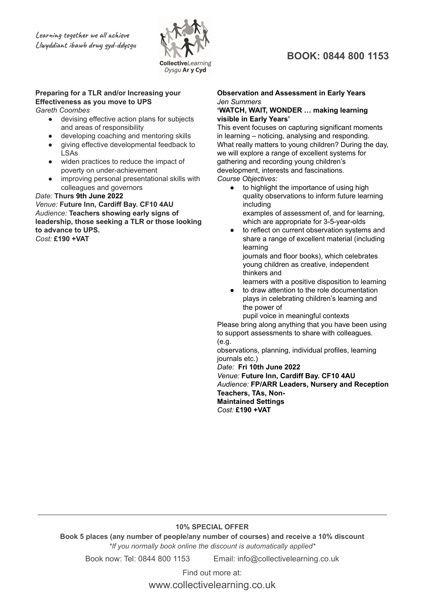

### **Preparing for a TLR and/or Increasing your Effectiveness as you move to UPS**

*Gareth Coombes*

- devising effective action plans for subjects and areas of responsibility
- developing coaching and mentoring skills
- giving effective developmental feedback to LSAs
- widen practices to reduce the impact of poverty on under-achievement
- improving personal presentational skills with colleagues and governors

#### *Date:* **Thurs 9th June 2022**

*Venue:* **Future Inn, Cardiff Bay. CF10 4AU** *Audience:* **Teachers showing early signs of leadership, those seeking a TLR or those looking to advance to UPS.** *Cost:* **£190 +VAT**

### **BOOK: 0844 800 1153**

#### **Observation and Assessment in Early Years** *Jen Summers*

#### **'WATCH, WAIT, WONDER … making learning visible in Early Years'**

This event focuses on capturing significant moments in learning – noticing, analysing and responding. What really matters to young children? During the day, we will explore a range of excellent systems for gathering and recording young children's development, interests and fascinations. *Course Objectives:*

- to highlight the importance of using high quality observations to inform future learning including examples of assessment of, and for learning, which are appropriate for 3-5-year-olds
- to reflect on current observation systems and share a range of excellent material (including learning

journals and floor books), which celebrates young children as creative, independent thinkers and

- learners with a positive disposition to learning
- to draw attention to the role documentation plays in celebrating children's learning and the power of

pupil voice in meaningful contexts Please bring along anything that you have been using to support assessments to share with colleagues.

(e.g.

observations, planning, individual profiles, learning journals etc.)

*Date:* **Fri 10th June 2022**

*Venue:* **Future Inn, Cardiff Bay. CF10 4AU** *Audience:* **FP/ARR Leaders, Nursery and Reception Teachers, TAs, Non-Maintained Settings** *Cost:* **£190 +VAT**

### **10% SPECIAL OFFER**

**Book 5 places (any number of people/any number of courses) and receive a 10% discount** *\*If you normally book online the discount is automatically applied\**

Book now: Tel: 0844 800 1153 Email: info@collectivelearning.co.uk

Find out more at: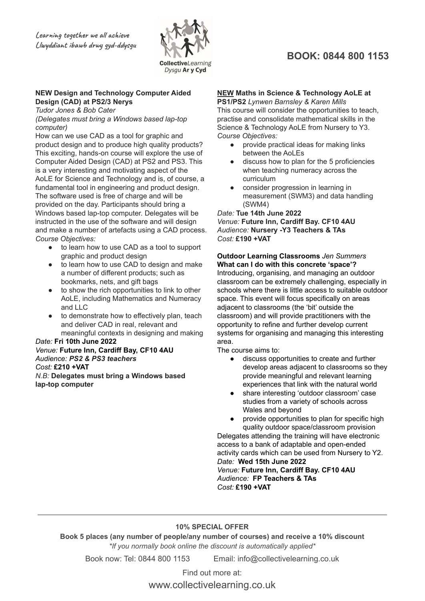

### **NEW Design and Technology Computer Aided Design (CAD) at PS2/3 Nerys**

*Tudor Jones & Bob Cater*

*(Delegates must bring a Windows based lap-top computer)*

How can we use CAD as a tool for graphic and product design and to produce high quality products? This exciting, hands-on course will explore the use of Computer Aided Design (CAD) at PS2 and PS3. This is a very interesting and motivating aspect of the AoLE for Science and Technology and is, of course, a fundamental tool in engineering and product design. The software used is free of charge and will be provided on the day. Participants should bring a Windows based lap-top computer. Delegates will be instructed in the use of the software and will design and make a number of artefacts using a CAD process. *Course Objectives:*

- to learn how to use CAD as a tool to support graphic and product design
- to learn how to use CAD to design and make a number of different products; such as bookmarks, nets, and gift bags
- to show the rich opportunities to link to other AoLE, including Mathematics and Numeracy and LLC
- to demonstrate how to effectively plan, teach and deliver CAD in real, relevant and meaningful contexts in designing and making

### *Date:* **Fri 10th June 2022**

*Venue:* **Future Inn, Cardiff Bay, CF10 4AU** *Audience: PS2 & PS3 teachers Cost:* **£210 +VAT** *N.B:* **Delegates must bring a Windows based lap-top computer**

### **BOOK: 0844 800 1153**

### **NEW Maths in Science & Technology AoLE at**

**PS1/PS2** *Lynwen Barnsley & Karen Mills* This course will consider the opportunities to teach, practise and consolidate mathematical skills in the Science & Technology AoLE from Nursery to Y3. *Course Objectives:*

- provide practical ideas for making links between the AoLEs
- discuss how to plan for the 5 proficiencies when teaching numeracy across the curriculum
- consider progression in learning in measurement (SWM3) and data handling (SWM4)

*Date:* **Tue 14th June 2022** *Venue:* **Future Inn, Cardiff Bay. CF10 4AU** *Audience:* **Nursery -Y3 Teachers & TAs** *Cost:* **£190 +VAT**

**Outdoor Learning Classrooms** *Jen Summers* **What can I do with this concrete 'space'?** Introducing, organising, and managing an outdoor classroom can be extremely challenging, especially in schools where there is little access to suitable outdoor space. This event will focus specifically on areas adjacent to classrooms (the 'bit' outside the classroom) and will provide practitioners with the opportunity to refine and further develop current systems for organising and managing this interesting area.

The course aims to:

- discuss opportunities to create and further develop areas adjacent to classrooms so they provide meaningful and relevant learning experiences that link with the natural world
- share interesting 'outdoor classroom' case studies from a variety of schools across Wales and beyond
- provide opportunities to plan for specific high quality outdoor space/classroom provision

Delegates attending the training will have electronic access to a bank of adaptable and open-ended activity cards which can be used from Nursery to Y2. *Date:* **Wed 15th June 2022** *Venue:* **Future Inn, Cardiff Bay. CF10 4AU**

*Audience:* **FP Teachers & TAs** *Cost:* **£190 +VAT**

### **10% SPECIAL OFFER**

**Book 5 places (any number of people/any number of courses) and receive a 10% discount** *\*If you normally book online the discount is automatically applied\**

Book now: Tel: 0844 800 1153 Email: info@collectivelearning.co.uk

Find out more at: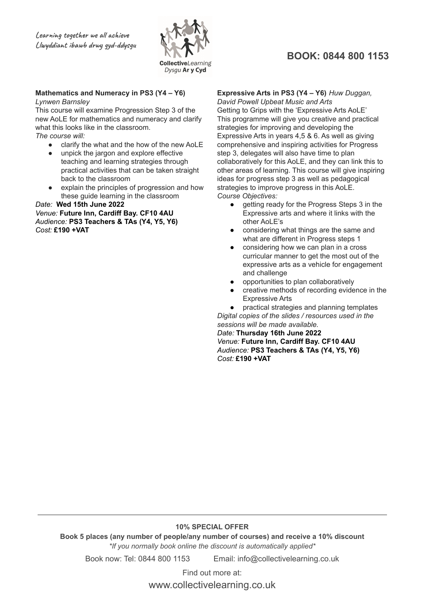

### **BOOK: 0844 800 1153**

### **Mathematics and Numeracy in PS3 (Y4 – Y6)**

#### *Lynwen Barnsley*

This course will examine Progression Step 3 of the new AoLE for mathematics and numeracy and clarify what this looks like in the classroom. *The course will:*

- clarify the what and the how of the new AoLE
- unpick the jargon and explore effective teaching and learning strategies through practical activities that can be taken straight back to the classroom
- explain the principles of progression and how these guide learning in the classroom

*Date:* **Wed 15th June 2022** *Venue:* **Future Inn, Cardiff Bay. CF10 4AU** *Audience:* **PS3 Teachers & TAs (Y4, Y5, Y6)** *Cost:* **£190 +VAT**

### **Expressive Arts in PS3 (Y4 – Y6)** *Huw Duggan,*

*David Powell Upbeat Music and Arts* Getting to Grips with the 'Expressive Arts AoLE' This programme will give you creative and practical strategies for improving and developing the Expressive Arts in years 4,5 & 6. As well as giving comprehensive and inspiring activities for Progress step 3, delegates will also have time to plan collaboratively for this AoLE, and they can link this to other areas of learning. This course will give inspiring ideas for progress step 3 as well as pedagogical strategies to improve progress in this AoLE. *Course Objectives:*

- getting ready for the Progress Steps 3 in the Expressive arts and where it links with the other AoLE's
- considering what things are the same and what are different in Progress steps 1
- considering how we can plan in a cross curricular manner to get the most out of the expressive arts as a vehicle for engagement and challenge
- opportunities to plan collaboratively
- creative methods of recording evidence in the Expressive Arts

practical strategies and planning templates *Digital copies of the slides / resources used in the sessions will be made available.*

*Date:* **Thursday 16th June 2022** *Venue:* **Future Inn, Cardiff Bay. CF10 4AU** *Audience:* **PS3 Teachers & TAs (Y4, Y5, Y6)** *Cost:* **£190 +VAT**

#### **10% SPECIAL OFFER**

**Book 5 places (any number of people/any number of courses) and receive a 10% discount** *\*If you normally book online the discount is automatically applied\**

Book now: Tel: 0844 800 1153 Email: info@collectivelearning.co.uk

Find out more at: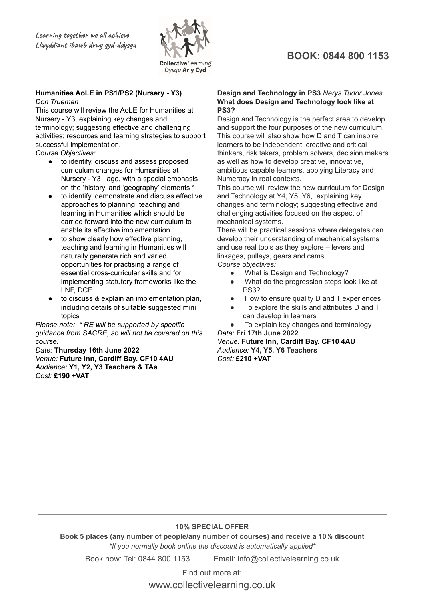

#### **Humanities AoLE in PS1/PS2 (Nursery - Y3)** *Don Trueman*

This course will review the AoLE for Humanities at Nursery - Y3, explaining key changes and terminology; suggesting effective and challenging activities; resources and learning strategies to support successful implementation.

*Course Objectives:*

- to identify, discuss and assess proposed curriculum changes for Humanities at Nursery - Y3 age, with a special emphasis on the 'history' and 'geography' elements \*
- to identify, demonstrate and discuss effective approaches to planning, teaching and learning in Humanities which should be carried forward into the new curriculum to enable its effective implementation
- to show clearly how effective planning, teaching and learning in Humanities will naturally generate rich and varied opportunities for practising a range of essential cross-curricular skills and for implementing statutory frameworks like the LNF, DCF
- to discuss & explain an implementation plan, including details of suitable suggested mini topics

*Please note: \* RE will be supported by specific guidance from SACRE, so will not be covered on this course.*

*Date:* **Thursday 16th June 2022** *Venue:* **Future Inn, Cardiff Bay. CF10 4AU** *Audience:* **Y1, Y2, Y3 Teachers & TAs** *Cost:* **£190 +VAT**

### **BOOK: 0844 800 1153**

#### **Design and Technology in PS3** *Nerys Tudor Jones* **What does Design and Technology look like at PS3?**

Design and Technology is the perfect area to develop and support the four purposes of the new curriculum. This course will also show how D and T can inspire learners to be independent, creative and critical thinkers, risk takers, problem solvers, decision makers as well as how to develop creative, innovative, ambitious capable learners, applying Literacy and Numeracy in real contexts.

This course will review the new curriculum for Design and Technology at Y4, Y5, Y6, explaining key changes and terminology; suggesting effective and challenging activities focused on the aspect of mechanical systems.

There will be practical sessions where delegates can develop their understanding of mechanical systems and use real tools as they explore – levers and linkages, pulleys, gears and cams. *Course objectives:*

- What is Design and Technology?
- What do the progression steps look like at PS3?
- How to ensure quality D and T experiences
- To explore the skills and attributes D and T can develop in learners
- To explain key changes and terminology *Date:* **Fri 17th June 2022**

*Venue:* **Future Inn, Cardiff Bay. CF10 4AU** *Audience:* **Y4, Y5, Y6 Teachers** *Cost:* **£210 +VAT**

### **10% SPECIAL OFFER**

**Book 5 places (any number of people/any number of courses) and receive a 10% discount** *\*If you normally book online the discount is automatically applied\**

Book now: Tel: 0844 800 1153 Email: info@collectivelearning.co.uk

Find out more at: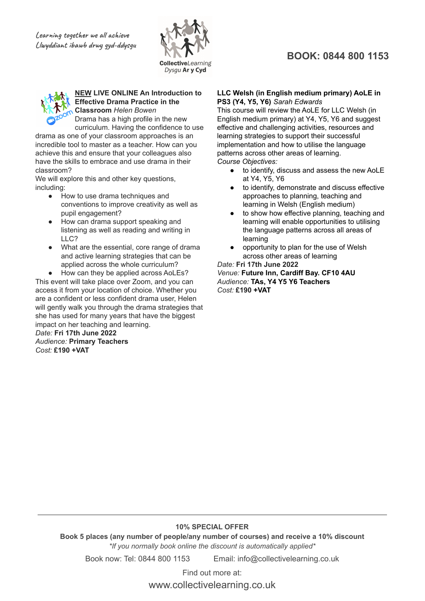

#### **NEW LIVE ONLINE An Introduction to Effective Drama Practice in the Classroom** *Helen Bowen*

Drama has a high profile in the new curriculum. Having the confidence to use

drama as one of your classroom approaches is an incredible tool to master as a teacher. How can you achieve this and ensure that your colleagues also have the skills to embrace and use drama in their classroom?

We will explore this and other key questions, including:

- How to use drama techniques and conventions to improve creativity as well as pupil engagement?
- How can drama support speaking and listening as well as reading and writing in LLC?
- What are the essential, core range of drama and active learning strategies that can be applied across the whole curriculum?

How can they be applied across AoLEs? This event will take place over Zoom, and you can access it from your location of choice. Whether you are a confident or less confident drama user, Helen will gently walk you through the drama strategies that she has used for many years that have the biggest impact on her teaching and learning. *Date:* **Fri 17th June 2022**

*Audience:* **Primary Teachers** *Cost:* **£190 +VAT**

### **BOOK: 0844 800 1153**

#### **LLC Welsh (in English medium primary) AoLE in PS3 (Y4, Y5, Y6)** *Sarah Edwards*

This course will review the AoLE for LLC Welsh (in English medium primary) at Y4, Y5, Y6 and suggest effective and challenging activities, resources and learning strategies to support their successful implementation and how to utilise the language patterns across other areas of learning. *Course Objectives:*

- to identify, discuss and assess the new AoLE at Y4, Y5, Y6
- to identify, demonstrate and discuss effective approaches to planning, teaching and learning in Welsh (English medium)
- to show how effective planning, teaching and learning will enable opportunities to utilising the language patterns across all areas of learning
- opportunity to plan for the use of Welsh across other areas of learning *Date:* **Fri 17th June 2022**

*Venue:* **Future Inn, Cardiff Bay. CF10 4AU** *Audience:* **TAs, Y4 Y5 Y6 Teachers** *Cost:* **£190 +VAT**

### **10% SPECIAL OFFER**

**Book 5 places (any number of people/any number of courses) and receive a 10% discount** *\*If you normally book online the discount is automatically applied\**

Book now: Tel: 0844 800 1153 Email: info@collectivelearning.co.uk

Find out more at: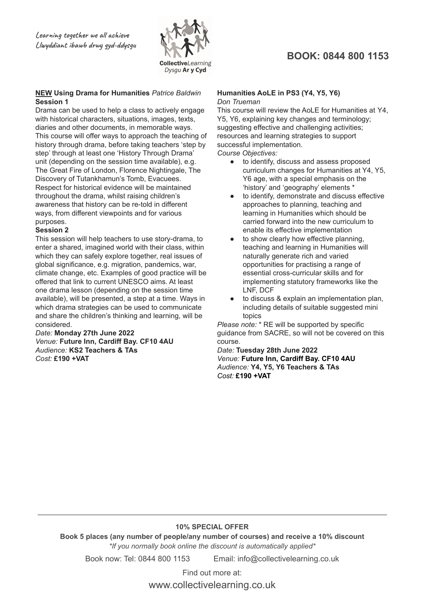

### **NEW Using Drama for Humanities** *Patrice Baldwin* **Session 1**

Drama can be used to help a class to actively engage with historical characters, situations, images, texts, diaries and other documents, in memorable ways. This course will offer ways to approach the teaching of history through drama, before taking teachers 'step by step' through at least one 'History Through Drama' unit (depending on the session time available), e.g. The Great Fire of London, Florence Nightingale, The Discovery of Tutankhamun's Tomb, Evacuees. Respect for historical evidence will be maintained throughout the drama, whilst raising children's awareness that history can be re-told in different ways, from different viewpoints and for various purposes.

#### **Session 2**

This session will help teachers to use story-drama, to enter a shared, imagined world with their class, within which they can safely explore together, real issues of global significance, e.g. migration, pandemics, war, climate change, etc. Examples of good practice will be offered that link to current UNESCO aims. At least one drama lesson (depending on the session time available), will be presented, a step at a time. Ways in which drama strategies can be used to communicate and share the children's thinking and learning, will be considered.

*Date:* **Monday 27th June 2022** *Venue:* **Future Inn, Cardiff Bay. CF10 4AU** *Audience:* **KS2 Teachers & TAs** *Cost:* **£190 +VAT**

### **BOOK: 0844 800 1153**

#### **Humanities AoLE in PS3 (Y4, Y5, Y6)** *Don Trueman*

This course will review the AoLE for Humanities at Y4, Y5, Y6, explaining key changes and terminology; suggesting effective and challenging activities; resources and learning strategies to support successful implementation.

*Course Objectives:*

- to identify, discuss and assess proposed curriculum changes for Humanities at Y4, Y5, Y6 age, with a special emphasis on the 'history' and 'geography' elements \*
- to identify, demonstrate and discuss effective approaches to planning, teaching and learning in Humanities which should be carried forward into the new curriculum to enable its effective implementation
- to show clearly how effective planning, teaching and learning in Humanities will naturally generate rich and varied opportunities for practising a range of essential cross-curricular skills and for implementing statutory frameworks like the LNF, DCF
- to discuss & explain an implementation plan, including details of suitable suggested mini topics

*Please note:* \* RE will be supported by specific guidance from SACRE, so will not be covered on this course.

*Date:* **Tuesday 28th June 2022** *Venue:* **Future Inn, Cardiff Bay. CF10 4AU** *Audience:* **Y4, Y5, Y6 Teachers & TAs** *Cost:* **£190 +VAT**

### **10% SPECIAL OFFER**

**Book 5 places (any number of people/any number of courses) and receive a 10% discount** *\*If you normally book online the discount is automatically applied\**

Book now: Tel: 0844 800 1153 Email: info@collectivelearning.co.uk

Find out more at: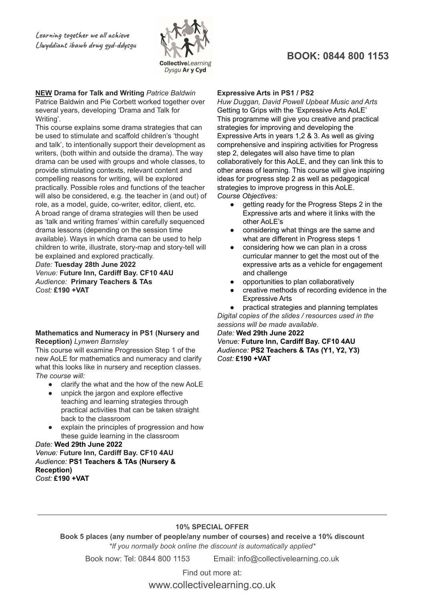

#### **NEW Drama for Talk and Writing** *Patrice Baldwin* Patrice Baldwin and Pie Corbett worked together over several years, developing 'Drama and Talk for Writing'.

This course explains some drama strategies that can be used to stimulate and scaffold children's 'thought and talk', to intentionally support their development as writers, (both within and outside the drama). The way drama can be used with groups and whole classes, to provide stimulating contexts, relevant content and compelling reasons for writing, will be explored practically. Possible roles and functions of the teacher will also be considered, e.g. the teacher in (and out) of role, as a model, guide, co-writer, editor, client, etc. A broad range of drama strategies will then be used as 'talk and writing frames' within carefully sequenced drama lessons (depending on the session time available). Ways in which drama can be used to help children to write, illustrate, story-map and story-tell will be explained and explored practically.

*Date:* **Tuesday 28th June 2022** *Venue:* **Future Inn, Cardiff Bay. CF10 4AU** *Audience:* **Primary Teachers & TAs** *Cost:* **£190 +VAT**

#### **Mathematics and Numeracy in PS1 (Nursery and Reception)** *Lynwen Barnsley*

This course will examine Progression Step 1 of the new AoLE for mathematics and numeracy and clarify what this looks like in nursery and reception classes. *The course will:*

- clarify the what and the how of the new AoLE
- unpick the jargon and explore effective teaching and learning strategies through practical activities that can be taken straight back to the classroom
- explain the principles of progression and how these guide learning in the classroom

#### *Date:* **Wed 29th June 2022** *Venue:* **Future Inn, Cardiff Bay. CF10 4AU** *Audience:* **PS1 Teachers & TAs (Nursery & Reception)** *Cost:* **£190 +VAT**

### **BOOK: 0844 800 1153**

#### **Expressive Arts in PS1 / PS2**

*Huw Duggan, David Powell Upbeat Music and Arts* Getting to Grips with the 'Expressive Arts AoLE' This programme will give you creative and practical strategies for improving and developing the Expressive Arts in years 1,2 & 3. As well as giving comprehensive and inspiring activities for Progress step 2, delegates will also have time to plan collaboratively for this AoLE, and they can link this to other areas of learning. This course will give inspiring ideas for progress step 2 as well as pedagogical strategies to improve progress in this AoLE. *Course Objectives:*

- getting ready for the Progress Steps 2 in the Expressive arts and where it links with the other AoLE's
- considering what things are the same and what are different in Progress steps 1
- considering how we can plan in a cross curricular manner to get the most out of the expressive arts as a vehicle for engagement and challenge
- opportunities to plan collaboratively
- creative methods of recording evidence in the Expressive Arts

practical strategies and planning templates *Digital copies of the slides / resources used in the sessions will be made available.*

#### *Date:* **Wed 29th June 2022** *Venue:* **Future Inn, Cardiff Bay. CF10 4AU** *Audience:* **PS2 Teachers & TAs (Y1, Y2, Y3)** *Cost:* **£190 +VAT**

### **10% SPECIAL OFFER**

**Book 5 places (any number of people/any number of courses) and receive a 10% discount** *\*If you normally book online the discount is automatically applied\**

Book now: Tel: 0844 800 1153 Email: info@collectivelearning.co.uk

Find out more at: